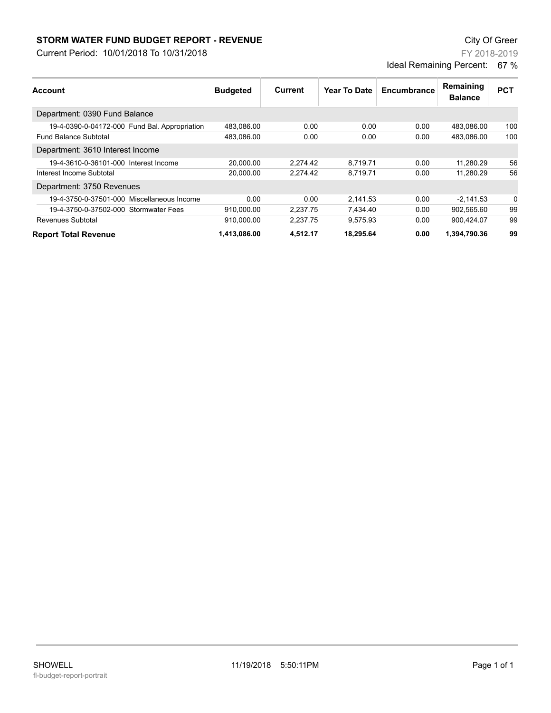## **STORM WATER FUND BUDGET REPORT - REVENUE City Of Greer** City Of Greer

Current Period: 10/01/2018 To 10/31/2018

FY 2018-2019 Ideal Remaining Percent: 67 %

| Account                                       | <b>Budgeted</b> | Current  | Year To Date | Encumbrance | Remaining<br><b>Balance</b> | <b>PCT</b> |
|-----------------------------------------------|-----------------|----------|--------------|-------------|-----------------------------|------------|
| Department: 0390 Fund Balance                 |                 |          |              |             |                             |            |
| 19-4-0390-0-04172-000 Fund Bal. Appropriation | 483,086.00      | 0.00     | 0.00         | 0.00        | 483,086.00                  | 100        |
| <b>Fund Balance Subtotal</b>                  | 483,086.00      | 0.00     | 0.00         | 0.00        | 483.086.00                  | 100        |
| Department: 3610 Interest Income              |                 |          |              |             |                             |            |
| 19-4-3610-0-36101-000 Interest Income         | 20.000.00       | 2,274.42 | 8.719.71     | 0.00        | 11,280.29                   | 56         |
| Interest Income Subtotal                      | 20.000.00       | 2.274.42 | 8.719.71     | 0.00        | 11.280.29                   | 56         |
| Department: 3750 Revenues                     |                 |          |              |             |                             |            |
| 19-4-3750-0-37501-000 Miscellaneous Income    | 0.00            | 0.00     | 2,141.53     | 0.00        | $-2.141.53$                 | 0          |
| 19-4-3750-0-37502-000 Stormwater Fees         | 910,000.00      | 2,237.75 | 7,434.40     | 0.00        | 902,565.60                  | 99         |
| Revenues Subtotal                             | 910.000.00      | 2,237.75 | 9.575.93     | 0.00        | 900,424.07                  | 99         |
| <b>Report Total Revenue</b>                   | 1,413,086.00    | 4,512.17 | 18.295.64    | 0.00        | 1,394,790.36                | 99         |